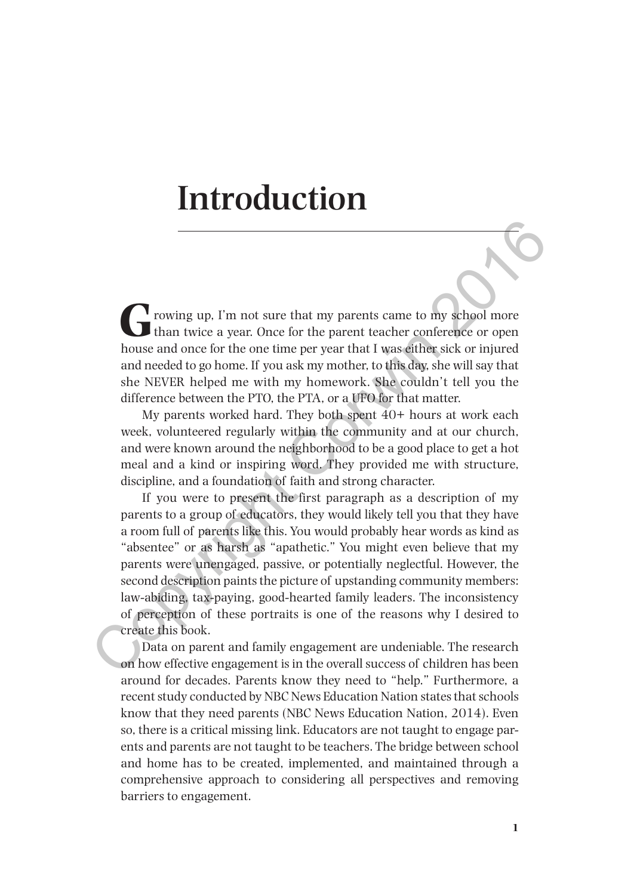# **Introduction**

**F** rowing up, I'm not sure that my parents came to my school more than twice a year. Once for the parent teacher conference or open house and once for the one time per year that I was either sick or injured and needed to go home. If you ask my mother, to this day, she will say that she NEVER helped me with my homework. She couldn't tell you the difference between the PTO, the PTA, or a UFO for that matter.

My parents worked hard. They both spent 40+ hours at work each week, volunteered regularly within the community and at our church, and were known around the neighborhood to be a good place to get a hot meal and a kind or inspiring word. They provided me with structure, discipline, and a foundation of faith and strong character.

If you were to present the first paragraph as a description of my parents to a group of educators, they would likely tell you that they have a room full of parents like this. You would probably hear words as kind as "absentee" or as harsh as "apathetic." You might even believe that my parents were unengaged, passive, or potentially neglectful. However, the second description paints the picture of upstanding community members: law-abiding, tax-paying, good-hearted family leaders. The inconsistency of perception of these portraits is one of the reasons why I desired to create this book. **Co** rowing up, I'm not sure that my parents came to my school more books and once for the parent teacher conference or open house and once for the one time per year that I was either sick or injured and needed to go home

Data on parent and family engagement are undeniable. The research on how effective engagement is in the overall success of children has been around for decades. Parents know they need to "help." Furthermore, a recent study conducted by NBC News Education Nation states that schools know that they need parents (NBC News Education Nation, 2014). Even so, there is a critical missing link. Educators are not taught to engage parents and parents are not taught to be teachers. The bridge between school and home has to be created, implemented, and maintained through a comprehensive approach to considering all perspectives and removing barriers to engagement.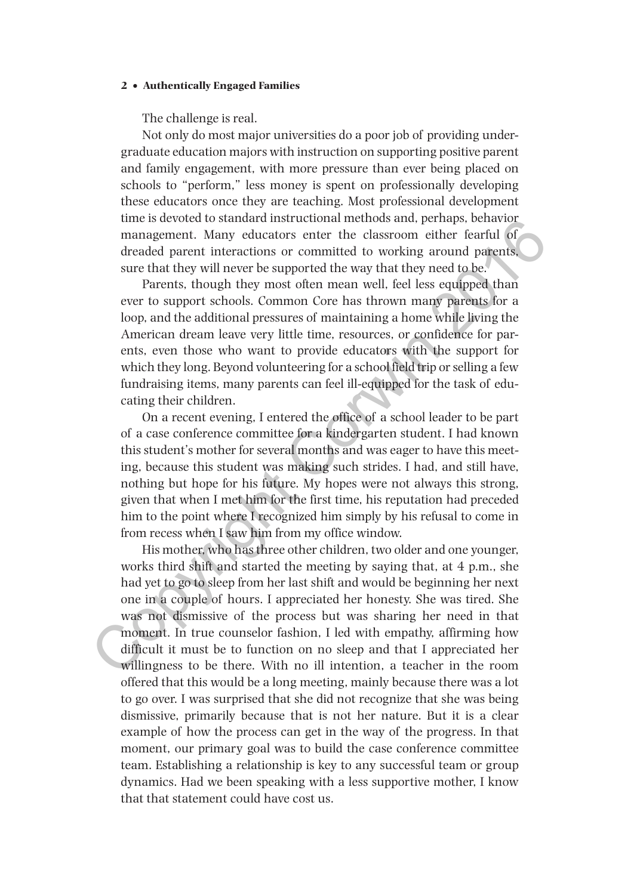The challenge is real.

Not only do most major universities do a poor job of providing undergraduate education majors with instruction on supporting positive parent and family engagement, with more pressure than ever being placed on schools to "perform," less money is spent on professionally developing these educators once they are teaching. Most professional development time is devoted to standard instructional methods and, perhaps, behavior management. Many educators enter the classroom either fearful of dreaded parent interactions or committed to working around parents, sure that they will never be supported the way that they need to be.

Parents, though they most often mean well, feel less equipped than ever to support schools. Common Core has thrown many parents for a loop, and the additional pressures of maintaining a home while living the American dream leave very little time, resources, or confidence for parents, even those who want to provide educators with the support for which they long. Beyond volunteering for a school field trip or selling a few fundraising items, many parents can feel ill-equipped for the task of educating their children.

On a recent evening, I entered the office of a school leader to be part of a case conference committee for a kindergarten student. I had known this student's mother for several months and was eager to have this meeting, because this student was making such strides. I had, and still have, nothing but hope for his future. My hopes were not always this strong, given that when I met him for the first time, his reputation had preceded him to the point where I recognized him simply by his refusal to come in from recess when I saw him from my office window.

His mother, who has three other children, two older and one younger, works third shift and started the meeting by saying that, at 4 p.m., she had yet to go to sleep from her last shift and would be beginning her next one in a couple of hours. I appreciated her honesty. She was tired. She was not dismissive of the process but was sharing her need in that moment. In true counselor fashion, I led with empathy, affirming how difficult it must be to function on no sleep and that I appreciated her willingness to be there. With no ill intention, a teacher in the room offered that this would be a long meeting, mainly because there was a lot to go over. I was surprised that she did not recognize that she was being dismissive, primarily because that is not her nature. But it is a clear example of how the process can get in the way of the progress. In that moment, our primary goal was to build the case conference committee team. Establishing a relationship is key to any successful team or group dynamics. Had we been speaking with a less supportive mother, I know that that statement could have cost us. time is devoted to standard instructional memotos and, pernaps, benavor<br>management. Many educators enter the classroom either fearful of<br>dreaded parent interactions or committed to working around parents,<br>sure that they wi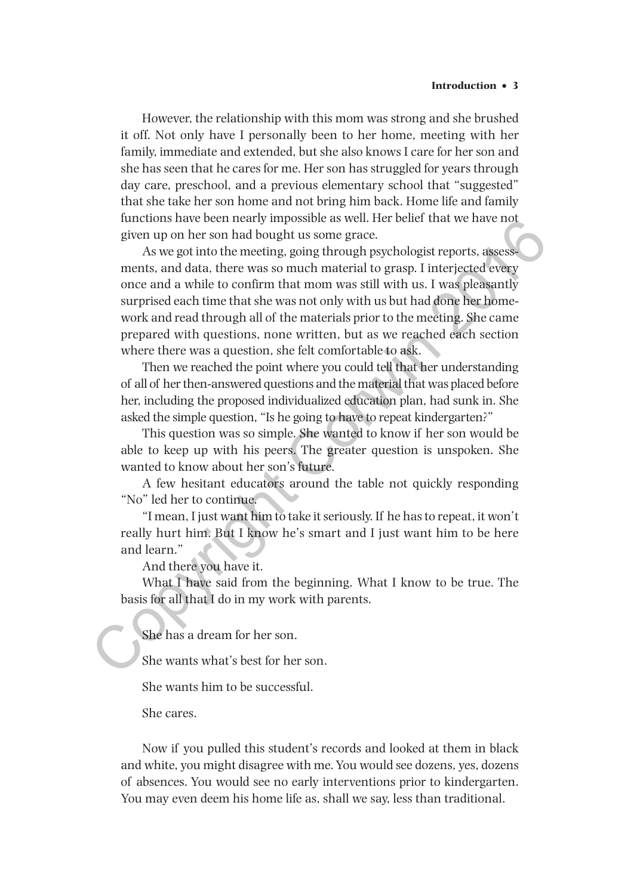However, the relationship with this mom was strong and she brushed it off. Not only have I personally been to her home, meeting with her family, immediate and extended, but she also knows I care for her son and she has seen that he cares for me. Her son has struggled for years through day care, preschool, and a previous elementary school that "suggested" that she take her son home and not bring him back. Home life and family functions have been nearly impossible as well. Her belief that we have not given up on her son had bought us some grace.

As we got into the meeting, going through psychologist reports, assessments, and data, there was so much material to grasp. I interjected every once and a while to confirm that mom was still with us. I was pleasantly surprised each time that she was not only with us but had done her homework and read through all of the materials prior to the meeting. She came prepared with questions, none written, but as we reached each section where there was a question, she felt comfortable to ask. nuctions have been nearly impossible as well. Here the matter of the matter and duct, there was something that there was something on the methal of the methal of the methal of the methal of the methal of the methal of the

Then we reached the point where you could tell that her understanding of all of her then-answered questions and the material that was placed before her, including the proposed individualized education plan, had sunk in. She asked the simple question, "Is he going to have to repeat kindergarten?"

This question was so simple. She wanted to know if her son would be able to keep up with his peers. The greater question is unspoken. She wanted to know about her son's future.

A few hesitant educators around the table not quickly responding "No" led her to continue.

"I mean, I just want him to take it seriously. If he has to repeat, it won't really hurt him. But I know he's smart and I just want him to be here and learn."

And there you have it.

What I have said from the beginning. What I know to be true. The basis for all that I do in my work with parents.

She has a dream for her son.

She wants what's best for her son.

She wants him to be successful.

She cares.

Now if you pulled this student's records and looked at them in black and white, you might disagree with me. You would see dozens, yes, dozens of absences. You would see no early interventions prior to kindergarten. You may even deem his home life as, shall we say, less than traditional.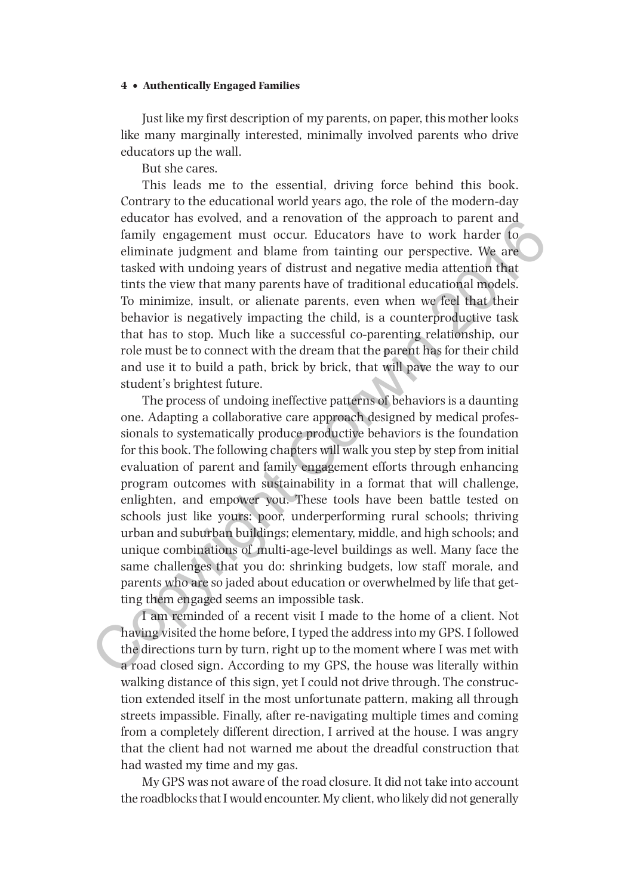Just like my first description of my parents, on paper, this mother looks like many marginally interested, minimally involved parents who drive educators up the wall.

But she cares.

This leads me to the essential, driving force behind this book. Contrary to the educational world years ago, the role of the modern-day educator has evolved, and a renovation of the approach to parent and family engagement must occur. Educators have to work harder to eliminate judgment and blame from tainting our perspective. We are tasked with undoing years of distrust and negative media attention that tints the view that many parents have of traditional educational models. To minimize, insult, or alienate parents, even when we feel that their behavior is negatively impacting the child, is a counterproductive task that has to stop. Much like a successful co-parenting relationship, our role must be to connect with the dream that the parent has for their child and use it to build a path, brick by brick, that will pave the way to our student's brightest future.

The process of undoing ineffective patterns of behaviors is a daunting one. Adapting a collaborative care approach designed by medical professionals to systematically produce productive behaviors is the foundation for this book. The following chapters will walk you step by step from initial evaluation of parent and family engagement efforts through enhancing program outcomes with sustainability in a format that will challenge, enlighten, and empower you. These tools have been battle tested on schools just like yours: poor, underperforming rural schools; thriving urban and suburban buildings; elementary, middle, and high schools; and unique combinations of multi-age-level buildings as well. Many face the same challenges that you do: shrinking budgets, low staff morale, and parents who are so jaded about education or overwhelmed by life that getting them engaged seems an impossible task. equestion of assessive and a renovation of the approach to parent and<br>family engagement must occur. Educators have to work harder to<br>eliminate judgment must occur. Ralucators have to work harder to<br>eliminate judgment and b

I am reminded of a recent visit I made to the home of a client. Not having visited the home before, I typed the address into my GPS. I followed the directions turn by turn, right up to the moment where I was met with a road closed sign. According to my GPS, the house was literally within walking distance of this sign, yet I could not drive through. The construction extended itself in the most unfortunate pattern, making all through streets impassible. Finally, after re-navigating multiple times and coming from a completely different direction, I arrived at the house. I was angry that the client had not warned me about the dreadful construction that had wasted my time and my gas.

My GPS was not aware of the road closure. It did not take into account the roadblocks that I would encounter. My client, who likely did not generally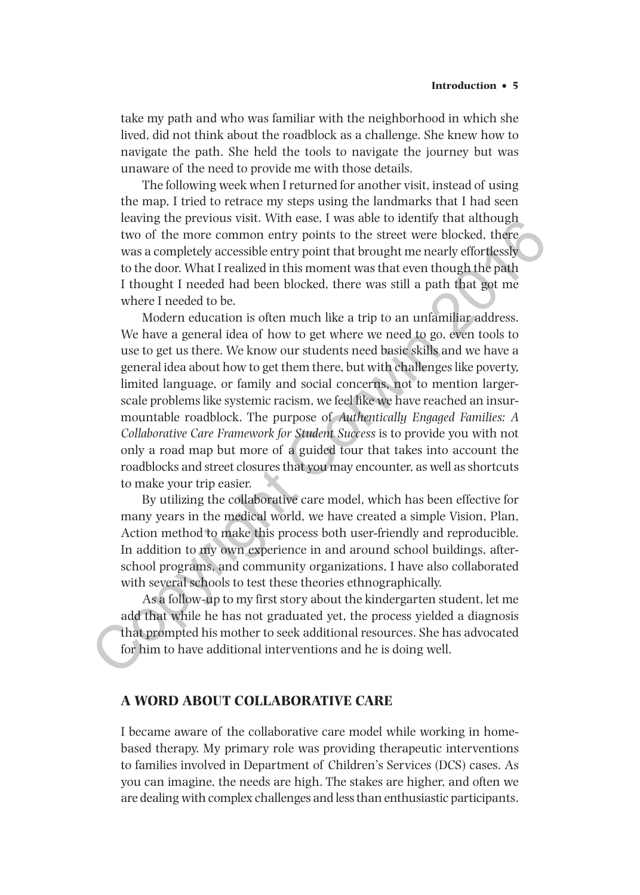take my path and who was familiar with the neighborhood in which she lived, did not think about the roadblock as a challenge. She knew how to navigate the path. She held the tools to navigate the journey but was unaware of the need to provide me with those details.

The following week when I returned for another visit, instead of using the map, I tried to retrace my steps using the landmarks that I had seen leaving the previous visit. With ease, I was able to identify that although two of the more common entry points to the street were blocked, there was a completely accessible entry point that brought me nearly effortlessly to the door. What I realized in this moment was that even though the path I thought I needed had been blocked, there was still a path that got me where I needed to be.

Modern education is often much like a trip to an unfamiliar address. We have a general idea of how to get where we need to go, even tools to use to get us there. We know our students need basic skills and we have a general idea about how to get them there, but with challenges like poverty, limited language, or family and social concerns, not to mention largerscale problems like systemic racism, we feel like we have reached an insurmountable roadblock. The purpose of *Authentically Engaged Families: A Collaborative Care Framework for Student Success* is to provide you with not only a road map but more of a guided tour that takes into account the roadblocks and street closures that you may encounter, as well as shortcuts to make your trip easier. beaving the previous visit. With ease, twas able to identury mat among the previous visit. With east a completely accessible entry point that brought me nearly effortlessly to the door. What I realized in this moment was

By utilizing the collaborative care model, which has been effective for many years in the medical world, we have created a simple Vision, Plan, Action method to make this process both user-friendly and reproducible. In addition to my own experience in and around school buildings, afterschool programs, and community organizations, I have also collaborated with several schools to test these theories ethnographically.

As a follow-up to my first story about the kindergarten student, let me add that while he has not graduated yet, the process yielded a diagnosis that prompted his mother to seek additional resources. She has advocated for him to have additional interventions and he is doing well.

### **A WORD ABOUT COLLABORATIVE CARE**

I became aware of the collaborative care model while working in homebased therapy. My primary role was providing therapeutic interventions to families involved in Department of Children's Services (DCS) cases. As you can imagine, the needs are high. The stakes are higher, and often we are dealing with complex challenges and less than enthusiastic participants.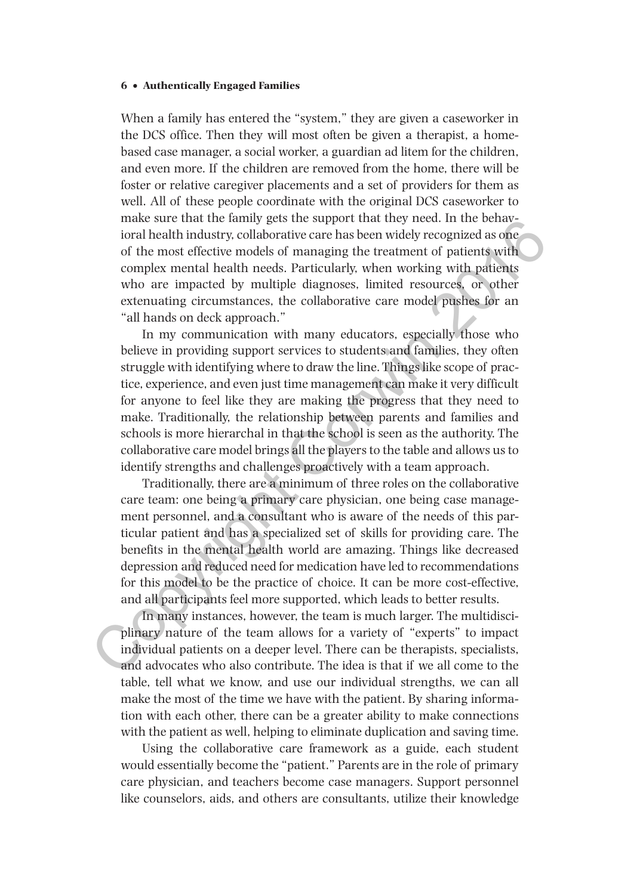When a family has entered the "system," they are given a caseworker in the DCS office. Then they will most often be given a therapist, a homebased case manager, a social worker, a guardian ad litem for the children, and even more. If the children are removed from the home, there will be foster or relative caregiver placements and a set of providers for them as well. All of these people coordinate with the original DCS caseworker to make sure that the family gets the support that they need. In the behavioral health industry, collaborative care has been widely recognized as one of the most effective models of managing the treatment of patients with complex mental health needs. Particularly, when working with patients who are impacted by multiple diagnoses, limited resources, or other extenuating circumstances, the collaborative care model pushes for an "all hands on deck approach."

In my communication with many educators, especially those who believe in providing support services to students and families, they often struggle with identifying where to draw the line. Things like scope of practice, experience, and even just time management can make it very difficult for anyone to feel like they are making the progress that they need to make. Traditionally, the relationship between parents and families and schools is more hierarchal in that the school is seen as the authority. The collaborative care model brings all the players to the table and allows us to identify strengths and challenges proactively with a team approach. make sure train the immy geas the support inarit means that they need. In the benawited by the most effective models of managing the treatment of patients with complex mental health needs. Particularly, when nowthing with

Traditionally, there are a minimum of three roles on the collaborative care team: one being a primary care physician, one being case management personnel, and a consultant who is aware of the needs of this particular patient and has a specialized set of skills for providing care. The benefits in the mental health world are amazing. Things like decreased depression and reduced need for medication have led to recommendations for this model to be the practice of choice. It can be more cost-effective, and all participants feel more supported, which leads to better results.

In many instances, however, the team is much larger. The multidisciplinary nature of the team allows for a variety of "experts" to impact individual patients on a deeper level. There can be therapists, specialists, and advocates who also contribute. The idea is that if we all come to the table, tell what we know, and use our individual strengths, we can all make the most of the time we have with the patient. By sharing information with each other, there can be a greater ability to make connections with the patient as well, helping to eliminate duplication and saving time.

Using the collaborative care framework as a guide, each student would essentially become the "patient." Parents are in the role of primary care physician, and teachers become case managers. Support personnel like counselors, aids, and others are consultants, utilize their knowledge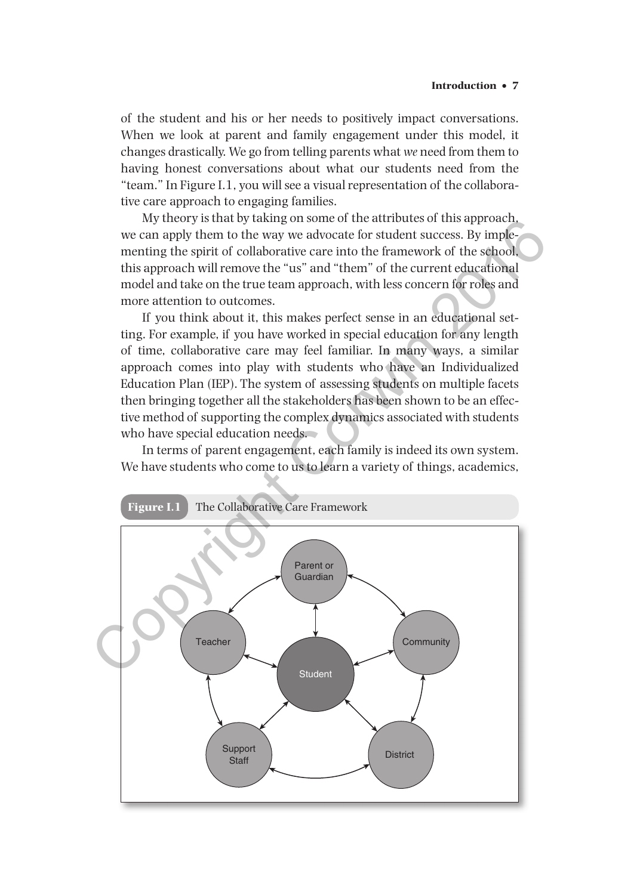of the student and his or her needs to positively impact conversations. When we look at parent and family engagement under this model, it changes drastically. We go from telling parents what *we* need from them to having honest conversations about what our students need from the "team." In Figure I.1, you will see a visual representation of the collaborative care approach to engaging families.

My theory is that by taking on some of the attributes of this approach, we can apply them to the way we advocate for student success. By implementing the spirit of collaborative care into the framework of the school, this approach will remove the "us" and "them" of the current educational model and take on the true team approach, with less concern for roles and more attention to outcomes.

If you think about it, this makes perfect sense in an educational setting. For example, if you have worked in special education for any length of time, collaborative care may feel familiar. In many ways, a similar approach comes into play with students who have an Individualized Education Plan (IEP). The system of assessing students on multiple facets then bringing together all the stakeholders has been shown to be an effective method of supporting the complex dynamics associated with students who have special education needs.

In terms of parent engagement, each family is indeed its own system. We have students who come to us to learn a variety of things, academics,

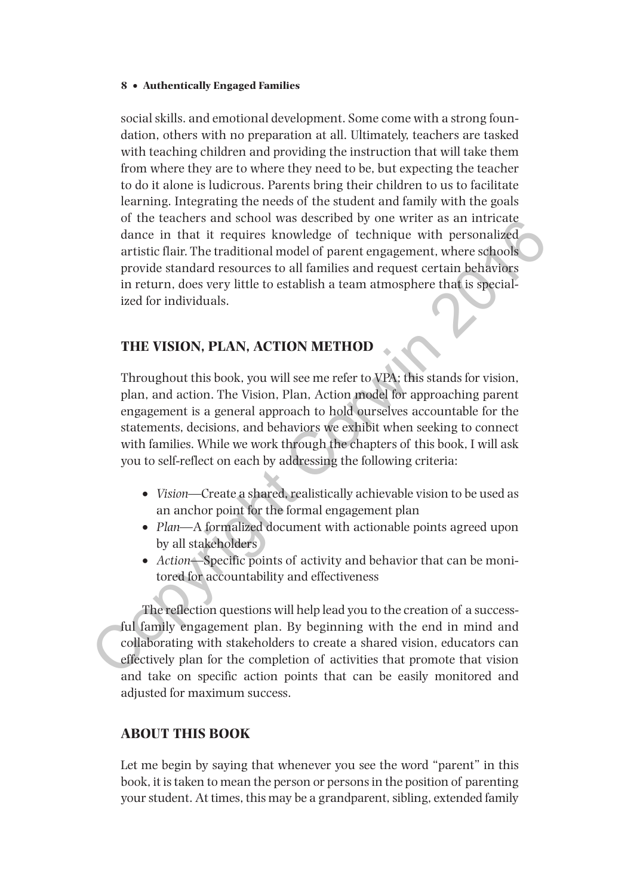social skills. and emotional development. Some come with a strong foundation, others with no preparation at all. Ultimately, teachers are tasked with teaching children and providing the instruction that will take them from where they are to where they need to be, but expecting the teacher to do it alone is ludicrous. Parents bring their children to us to facilitate learning. Integrating the needs of the student and family with the goals of the teachers and school was described by one writer as an intricate dance in that it requires knowledge of technique with personalized artistic flair. The traditional model of parent engagement, where schools provide standard resources to all families and request certain behaviors in return, does very little to establish a team atmosphere that is specialized for individuals.

## **THE VISION, PLAN, ACTION METHOD**

Throughout this book, you will see me refer to VPA; this stands for vision, plan, and action. The Vision, Plan, Action model for approaching parent engagement is a general approach to hold ourselves accountable for the statements, decisions, and behaviors we exhibit when seeking to connect with families. While we work through the chapters of this book, I will ask you to self-reflect on each by addressing the following criteria: or the teachers and school was described by one writter as an intricate<br>dance in that it requires knowledge of technique with personalized<br>artistic flair. The traditional model of parent engagement, where schools<br>provide

- •• *Vision*—Create a shared, realistically achievable vision to be used as an anchor point for the formal engagement plan
- *Plan*—A formalized document with actionable points agreed upon by all stakeholders
- *Action*—Specific points of activity and behavior that can be monitored for accountability and effectiveness

The reflection questions will help lead you to the creation of a successful family engagement plan. By beginning with the end in mind and collaborating with stakeholders to create a shared vision, educators can effectively plan for the completion of activities that promote that vision and take on specific action points that can be easily monitored and adjusted for maximum success.

## **ABOUT THIS BOOK**

Let me begin by saying that whenever you see the word "parent" in this book, it is taken to mean the person or persons in the position of parenting your student. At times, this may be a grandparent, sibling, extended family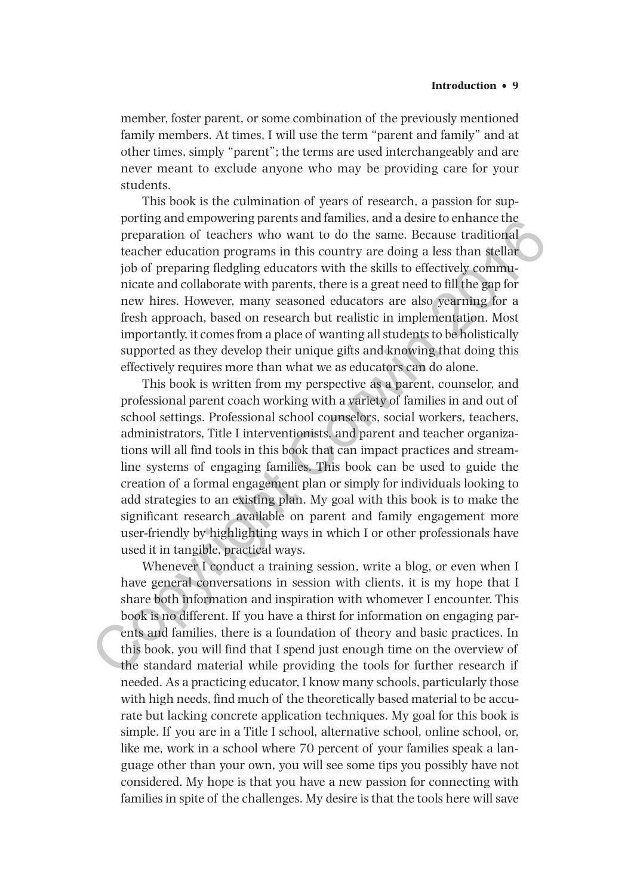member, foster parent, or some combination of the previously mentioned family members. At times, I will use the term "parent and family" and at other times, simply "parent"; the terms are used interchangeably and are never meant to exclude anyone who may be providing care for your students.

This book is the culmination of years of research, a passion for supporting and empowering parents and families, and a desire to enhance the preparation of teachers who want to do the same. Because traditional teacher education programs in this country are doing a less than stellar job of preparing fledgling educators with the skills to effectively communicate and collaborate with parents, there is a great need to fill the gap for new hires. However, many seasoned educators are also yearning for a fresh approach, based on research but realistic in implementation. Most importantly, it comes from a place of wanting all students to be holistically supported as they develop their unique gifts and knowing that doing this effectively requires more than what we as educators can do alone.

This book is written from my perspective as a parent, counselor, and professional parent coach working with a variety of families in and out of school settings. Professional school counselors, social workers, teachers, administrators, Title I interventionists, and parent and teacher organizations will all find tools in this book that can impact practices and streamline systems of engaging families. This book can be used to guide the creation of a formal engagement plan or simply for individuals looking to add strategies to an existing plan. My goal with this book is to make the significant research available on parent and family engagement more user-friendly by highlighting ways in which I or other professionals have used it in tangible, practical ways. prorug and empowering parents and a state to emale center of preparation of teachers who want to do the same. Because traditional teacher education programs in this country are doing a less than stellar job of preparation

Whenever I conduct a training session, write a blog, or even when I have general conversations in session with clients, it is my hope that I share both information and inspiration with whomever I encounter. This book is no different. If you have a thirst for information on engaging parents and families, there is a foundation of theory and basic practices. In this book, you will find that I spend just enough time on the overview of the standard material while providing the tools for further research if needed. As a practicing educator, I know many schools, particularly those with high needs, find much of the theoretically based material to be accurate but lacking concrete application techniques. My goal for this book is simple. If you are in a Title I school, alternative school, online school, or, like me, work in a school where 70 percent of your families speak a language other than your own, you will see some tips you possibly have not considered. My hope is that you have a new passion for connecting with families in spite of the challenges. My desire is that the tools here will save